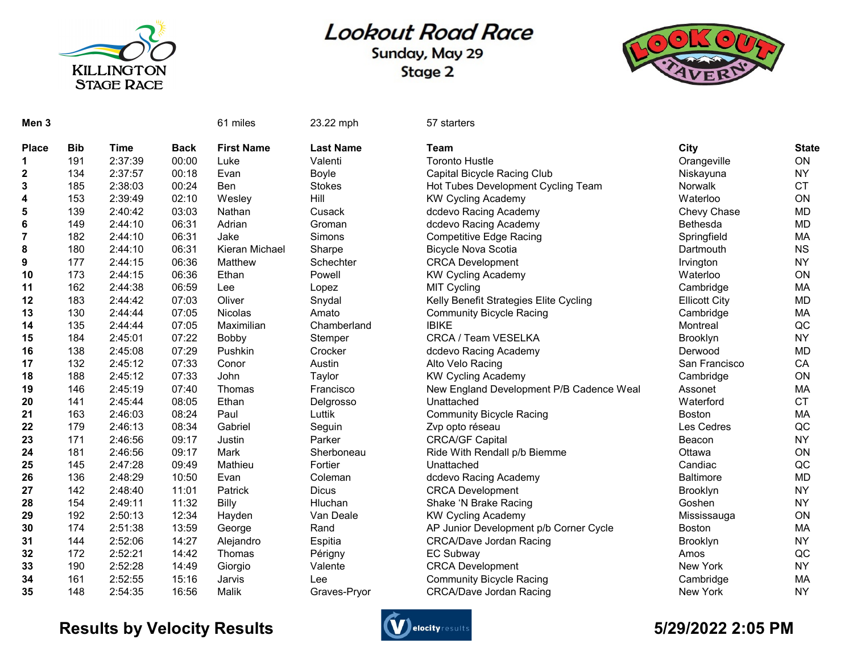

## **Lookout Road Race**

Sunday, May 29 Stage 2



| Men <sub>3</sub> |            |             |             | 61 miles          | 23.22 mph        | 57 starters                              |                      |              |
|------------------|------------|-------------|-------------|-------------------|------------------|------------------------------------------|----------------------|--------------|
| <b>Place</b>     | <b>Bib</b> | <b>Time</b> | <b>Back</b> | <b>First Name</b> | <b>Last Name</b> | <b>Team</b>                              | City                 | <b>State</b> |
| 1                | 191        | 2:37:39     | 00:00       | Luke              | Valenti          | <b>Toronto Hustle</b>                    | Orangeville          | ON           |
| 2                | 134        | 2:37:57     | 00:18       | Evan              | Boyle            | Capital Bicycle Racing Club              | Niskayuna            | <b>NY</b>    |
| 3                | 185        | 2:38:03     | 00:24       | <b>Ben</b>        | <b>Stokes</b>    | Hot Tubes Development Cycling Team       | <b>Norwalk</b>       | <b>CT</b>    |
| 4                | 153        | 2:39:49     | 02:10       | Wesley            | Hill             | <b>KW Cycling Academy</b>                | Waterloo             | ON           |
| 5                | 139        | 2:40:42     | 03:03       | Nathan            | Cusack           | dcdevo Racing Academy                    | Chevy Chase          | <b>MD</b>    |
| 6                | 149        | 2:44:10     | 06:31       | Adrian            | Groman           | dcdevo Racing Academy                    | <b>Bethesda</b>      | <b>MD</b>    |
| $\overline{7}$   | 182        | 2:44:10     | 06:31       | Jake              | Simons           | <b>Competitive Edge Racing</b>           | Springfield          | MA           |
| 8                | 180        | 2:44:10     | 06:31       | Kieran Michael    | Sharpe           | <b>Bicycle Nova Scotia</b>               | Dartmouth            | <b>NS</b>    |
| 9                | 177        | 2:44:15     | 06:36       | Matthew           | Schechter        | <b>CRCA Development</b>                  | Irvington            | <b>NY</b>    |
| 10               | 173        | 2:44:15     | 06:36       | Ethan             | Powell           | <b>KW Cycling Academy</b>                | Waterloo             | ON           |
| 11               | 162        | 2:44:38     | 06:59       | Lee               | Lopez            | <b>MIT Cycling</b>                       | Cambridge            | MA           |
| 12               | 183        | 2:44:42     | 07:03       | Oliver            | Snydal           | Kelly Benefit Strategies Elite Cycling   | <b>Ellicott City</b> | <b>MD</b>    |
| 13               | 130        | 2:44:44     | 07:05       | Nicolas           | Amato            | <b>Community Bicycle Racing</b>          | Cambridge            | MA           |
| 14               | 135        | 2:44:44     | 07:05       | Maximilian        | Chamberland      | <b>IBIKE</b>                             | Montreal             | QC           |
| 15               | 184        | 2:45:01     | 07:22       | Bobby             | Stemper          | CRCA / Team VESELKA                      | Brooklyn             | <b>NY</b>    |
| 16               | 138        | 2:45:08     | 07:29       | Pushkin           | Crocker          | dcdevo Racing Academy                    | Derwood              | <b>MD</b>    |
| 17               | 132        | 2:45:12     | 07:33       | Conor             | Austin           | Alto Velo Racing                         | San Francisco        | CA           |
| 18               | 188        | 2:45:12     | 07:33       | John              | Taylor           | <b>KW Cycling Academy</b>                | Cambridge            | ON           |
| 19               | 146        | 2:45:19     | 07:40       | Thomas            | Francisco        | New England Development P/B Cadence Weal | Assonet              | МA           |
| 20               | 141        | 2:45:44     | 08:05       | Ethan             | Delgrosso        | Unattached                               | Waterford            | <b>CT</b>    |
| 21               | 163        | 2:46:03     | 08:24       | Paul              | Luttik           | <b>Community Bicycle Racing</b>          | <b>Boston</b>        | MA           |
| 22               | 179        | 2:46:13     | 08:34       | Gabriel           | Seguin           | Zvp opto réseau                          | Les Cedres           | QC           |
| 23               | 171        | 2:46:56     | 09:17       | Justin            | Parker           | <b>CRCA/GF Capital</b>                   | Beacon               | <b>NY</b>    |
| 24               | 181        | 2:46:56     | 09:17       | Mark              | Sherboneau       | Ride With Rendall p/b Biemme             | Ottawa               | ON           |
| 25               | 145        | 2:47:28     | 09:49       | Mathieu           | Fortier          | Unattached                               | Candiac              | QC           |
| 26               | 136        | 2:48:29     | 10:50       | Evan              | Coleman          | dcdevo Racing Academy                    | <b>Baltimore</b>     | <b>MD</b>    |
| 27               | 142        | 2:48:40     | 11:01       | Patrick           | <b>Dicus</b>     | <b>CRCA Development</b>                  | <b>Brooklyn</b>      | <b>NY</b>    |
| 28               | 154        | 2:49:11     | 11:32       | Billy             | Hluchan          | Shake 'N Brake Racing                    | Goshen               | <b>NY</b>    |
| 29               | 192        | 2:50:13     | 12:34       | Hayden            | Van Deale        | <b>KW Cycling Academy</b>                | Mississauga          | ON           |
| 30               | 174        | 2:51:38     | 13:59       | George            | Rand             | AP Junior Development p/b Corner Cycle   | <b>Boston</b>        | MA           |
| 31               | 144        | 2:52:06     | 14:27       | Alejandro         | Espitia          | <b>CRCA/Dave Jordan Racing</b>           | Brooklyn             | <b>NY</b>    |
| 32               | 172        | 2:52:21     | 14:42       | Thomas            | Périgny          | <b>EC Subway</b>                         | Amos                 | QC           |
| 33               | 190        | 2:52:28     | 14:49       | Giorgio           | Valente          | <b>CRCA Development</b>                  | New York             | <b>NY</b>    |
| 34               | 161        | 2:52:55     | 15:16       | Jarvis            | Lee              | <b>Community Bicycle Racing</b>          | Cambridge            | <b>MA</b>    |
| 35               | 148        | 2:54:35     | 16:56       | Malik             | Graves-Pryor     | <b>CRCA/Dave Jordan Racing</b>           | New York             | <b>NY</b>    |

## Results by Velocity Results **Controllers** and the section of the section of the State of the State of the State of the State of the State of the State of the State of the State of the State of the State of the State of the